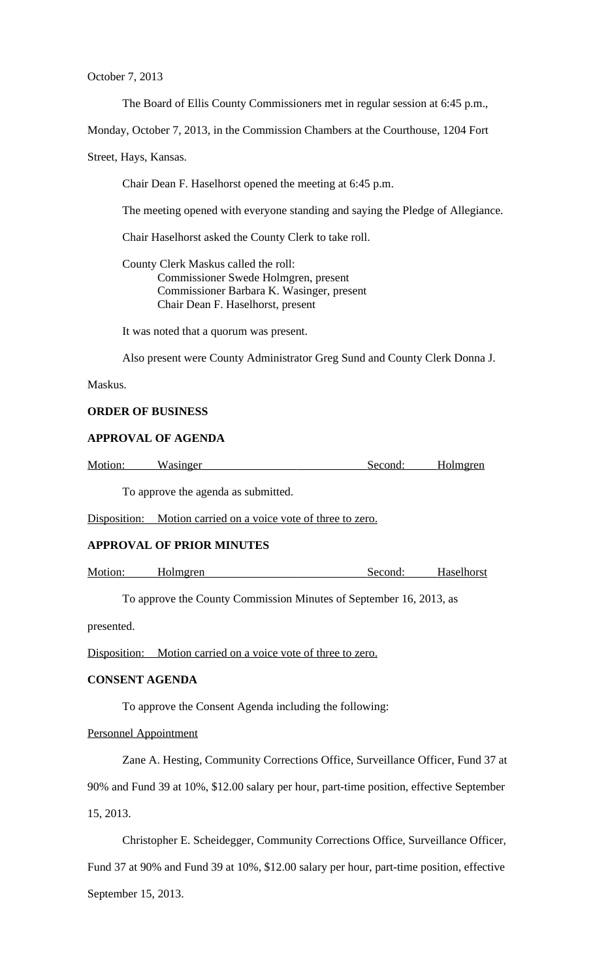October 7, 2013

The Board of Ellis County Commissioners met in regular session at 6:45 p.m.,

Monday, October 7, 2013, in the Commission Chambers at the Courthouse, 1204 Fort

Street, Hays, Kansas.

Chair Dean F. Haselhorst opened the meeting at 6:45 p.m.

The meeting opened with everyone standing and saying the Pledge of Allegiance.

Chair Haselhorst asked the County Clerk to take roll.

County Clerk Maskus called the roll: Commissioner Swede Holmgren, present Commissioner Barbara K. Wasinger, present Chair Dean F. Haselhorst, present

It was noted that a quorum was present.

Also present were County Administrator Greg Sund and County Clerk Donna J.

Maskus.

# **ORDER OF BUSINESS**

# **APPROVAL OF AGENDA**

| Motion: | Wasinger | Second: | Holmgren |
|---------|----------|---------|----------|
|         |          |         |          |
|         |          |         |          |

To approve the agenda as submitted.

Disposition: Motion carried on a voice vote of three to zero.

### **APPROVAL OF PRIOR MINUTES**

Motion: Holmgren Second: Haselhorst

To approve the County Commission Minutes of September 16, 2013, as

presented.

Disposition: Motion carried on a voice vote of three to zero.

### **CONSENT AGENDA**

To approve the Consent Agenda including the following:

Personnel Appointment

Zane A. Hesting, Community Corrections Office, Surveillance Officer, Fund 37 at 90% and Fund 39 at 10%, \$12.00 salary per hour, part-time position, effective September 15, 2013.

Christopher E. Scheidegger, Community Corrections Office, Surveillance Officer, Fund 37 at 90% and Fund 39 at 10%, \$12.00 salary per hour, part-time position, effective September 15, 2013.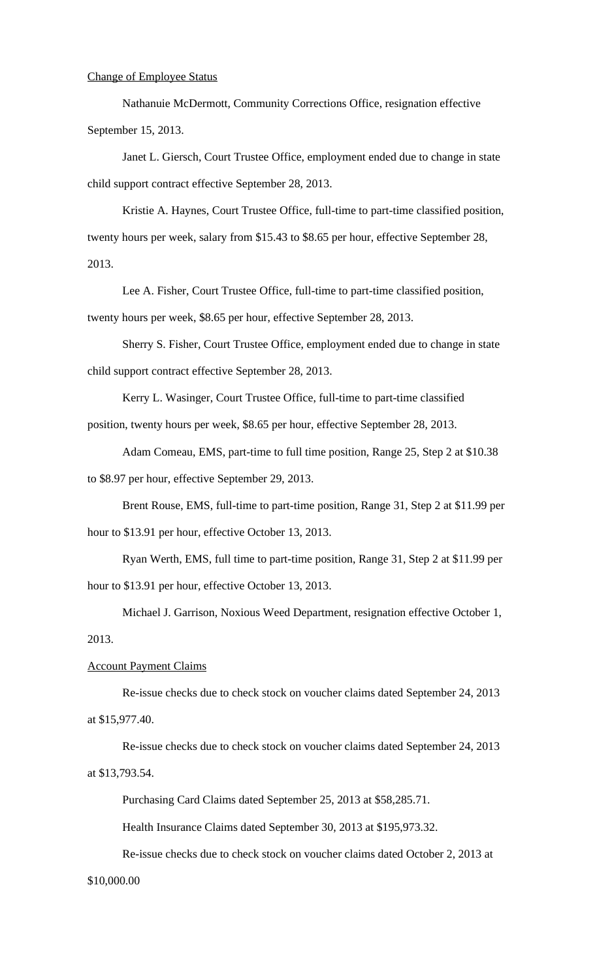### Change of Employee Status

Nathanuie McDermott, Community Corrections Office, resignation effective September 15, 2013.

Janet L. Giersch, Court Trustee Office, employment ended due to change in state child support contract effective September 28, 2013.

Kristie A. Haynes, Court Trustee Office, full-time to part-time classified position, twenty hours per week, salary from \$15.43 to \$8.65 per hour, effective September 28, 2013.

Lee A. Fisher, Court Trustee Office, full-time to part-time classified position, twenty hours per week, \$8.65 per hour, effective September 28, 2013.

Sherry S. Fisher, Court Trustee Office, employment ended due to change in state child support contract effective September 28, 2013.

Kerry L. Wasinger, Court Trustee Office, full-time to part-time classified position, twenty hours per week, \$8.65 per hour, effective September 28, 2013.

Adam Comeau, EMS, part-time to full time position, Range 25, Step 2 at \$10.38 to \$8.97 per hour, effective September 29, 2013.

Brent Rouse, EMS, full-time to part-time position, Range 31, Step 2 at \$11.99 per hour to \$13.91 per hour, effective October 13, 2013.

Ryan Werth, EMS, full time to part-time position, Range 31, Step 2 at \$11.99 per hour to \$13.91 per hour, effective October 13, 2013.

Michael J. Garrison, Noxious Weed Department, resignation effective October 1, 2013.

### Account Payment Claims

Re-issue checks due to check stock on voucher claims dated September 24, 2013 at \$15,977.40.

Re-issue checks due to check stock on voucher claims dated September 24, 2013 at \$13,793.54.

Purchasing Card Claims dated September 25, 2013 at \$58,285.71.

Health Insurance Claims dated September 30, 2013 at \$195,973.32.

Re-issue checks due to check stock on voucher claims dated October 2, 2013 at

### \$10,000.00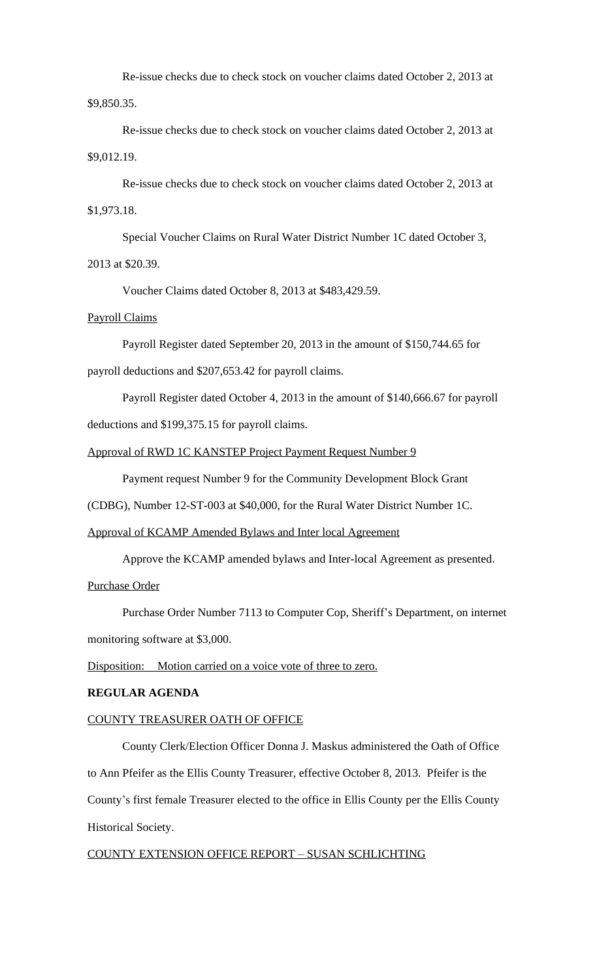Re-issue checks due to check stock on voucher claims dated October 2, 2013 at \$9,850.35.

Re-issue checks due to check stock on voucher claims dated October 2, 2013 at \$9,012.19.

Re-issue checks due to check stock on voucher claims dated October 2, 2013 at \$1,973.18.

Special Voucher Claims on Rural Water District Number 1C dated October 3,

# 2013 at \$20.39.

Voucher Claims dated October 8, 2013 at \$483,429.59.

# Payroll Claims

Payroll Register dated September 20, 2013 in the amount of \$150,744.65 for payroll deductions and \$207,653.42 for payroll claims.

Payroll Register dated October 4, 2013 in the amount of \$140,666.67 for payroll deductions and \$199,375.15 for payroll claims.

## Approval of RWD 1C KANSTEP Project Payment Request Number 9

Payment request Number 9 for the Community Development Block Grant

(CDBG), Number 12-ST-003 at \$40,000, for the Rural Water District Number 1C.

## Approval of KCAMP Amended Bylaws and Inter local Agreement

Approve the KCAMP amended bylaws and Inter-local Agreement as presented. Purchase Order

Purchase Order Number 7113 to Computer Cop, Sheriff's Department, on internet monitoring software at \$3,000.

Disposition: Motion carried on a voice vote of three to zero.

# **REGULAR AGENDA**

## COUNTY TREASURER OATH OF OFFICE

County Clerk/Election Officer Donna J. Maskus administered the Oath of Office to Ann Pfeifer as the Ellis County Treasurer, effective October 8, 2013. Pfeifer is the County's first female Treasurer elected to the office in Ellis County per the Ellis County Historical Society.

# COUNTY EXTENSION OFFICE REPORT – SUSAN SCHLICHTING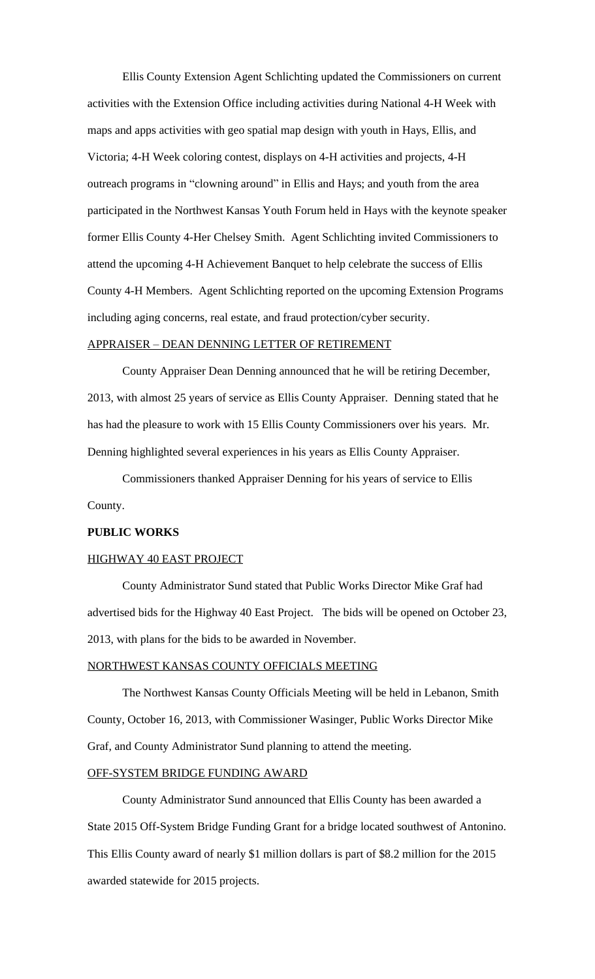Ellis County Extension Agent Schlichting updated the Commissioners on current activities with the Extension Office including activities during National 4-H Week with maps and apps activities with geo spatial map design with youth in Hays, Ellis, and Victoria; 4-H Week coloring contest, displays on 4-H activities and projects, 4-H outreach programs in "clowning around" in Ellis and Hays; and youth from the area participated in the Northwest Kansas Youth Forum held in Hays with the keynote speaker former Ellis County 4-Her Chelsey Smith. Agent Schlichting invited Commissioners to attend the upcoming 4-H Achievement Banquet to help celebrate the success of Ellis County 4-H Members. Agent Schlichting reported on the upcoming Extension Programs including aging concerns, real estate, and fraud protection/cyber security.

## APPRAISER – DEAN DENNING LETTER OF RETIREMENT

County Appraiser Dean Denning announced that he will be retiring December, 2013, with almost 25 years of service as Ellis County Appraiser. Denning stated that he has had the pleasure to work with 15 Ellis County Commissioners over his years. Mr. Denning highlighted several experiences in his years as Ellis County Appraiser.

Commissioners thanked Appraiser Denning for his years of service to Ellis County.

### **PUBLIC WORKS**

### HIGHWAY 40 EAST PROJECT

County Administrator Sund stated that Public Works Director Mike Graf had advertised bids for the Highway 40 East Project. The bids will be opened on October 23, 2013, with plans for the bids to be awarded in November.

### NORTHWEST KANSAS COUNTY OFFICIALS MEETING

The Northwest Kansas County Officials Meeting will be held in Lebanon, Smith County, October 16, 2013, with Commissioner Wasinger, Public Works Director Mike Graf, and County Administrator Sund planning to attend the meeting.

#### OFF-SYSTEM BRIDGE FUNDING AWARD

County Administrator Sund announced that Ellis County has been awarded a State 2015 Off-System Bridge Funding Grant for a bridge located southwest of Antonino. This Ellis County award of nearly \$1 million dollars is part of \$8.2 million for the 2015 awarded statewide for 2015 projects.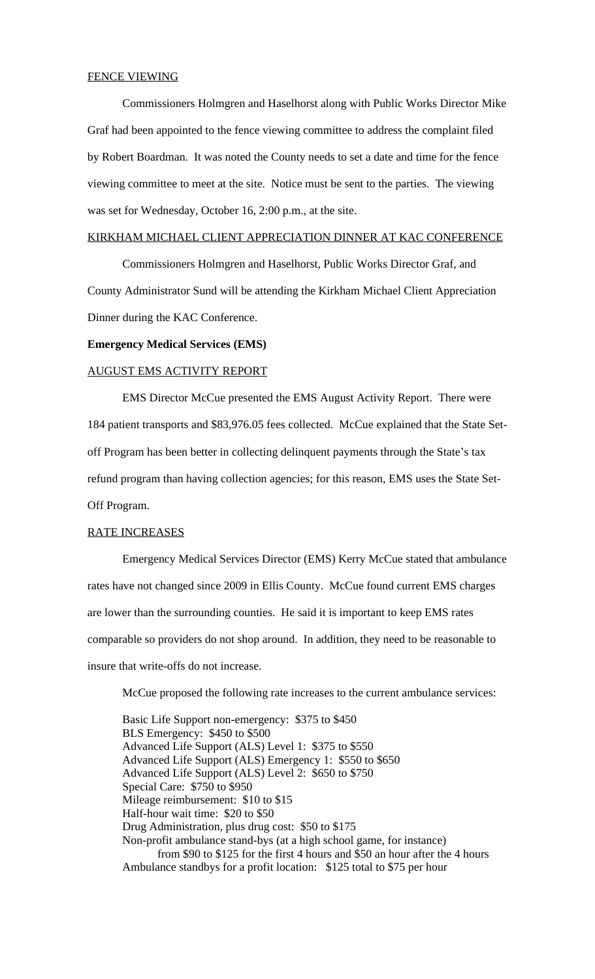#### FENCE VIEWING

Commissioners Holmgren and Haselhorst along with Public Works Director Mike Graf had been appointed to the fence viewing committee to address the complaint filed by Robert Boardman. It was noted the County needs to set a date and time for the fence viewing committee to meet at the site. Notice must be sent to the parties. The viewing was set for Wednesday, October 16, 2:00 p.m., at the site.

#### KIRKHAM MICHAEL CLIENT APPRECIATION DINNER AT KAC CONFERENCE

Commissioners Holmgren and Haselhorst, Public Works Director Graf, and County Administrator Sund will be attending the Kirkham Michael Client Appreciation Dinner during the KAC Conference.

#### **Emergency Medical Services (EMS)**

### AUGUST EMS ACTIVITY REPORT

EMS Director McCue presented the EMS August Activity Report. There were 184 patient transports and \$83,976.05 fees collected. McCue explained that the State Setoff Program has been better in collecting delinquent payments through the State's tax refund program than having collection agencies; for this reason, EMS uses the State Set-Off Program.

### RATE INCREASES

Emergency Medical Services Director (EMS) Kerry McCue stated that ambulance rates have not changed since 2009 in Ellis County. McCue found current EMS charges are lower than the surrounding counties. He said it is important to keep EMS rates comparable so providers do not shop around. In addition, they need to be reasonable to insure that write-offs do not increase.

McCue proposed the following rate increases to the current ambulance services:

Basic Life Support non-emergency: \$375 to \$450 BLS Emergency: \$450 to \$500 Advanced Life Support (ALS) Level 1: \$375 to \$550 Advanced Life Support (ALS) Emergency 1: \$550 to \$650 Advanced Life Support (ALS) Level 2: \$650 to \$750 Special Care: \$750 to \$950 Mileage reimbursement: \$10 to \$15 Half-hour wait time: \$20 to \$50 Drug Administration, plus drug cost: \$50 to \$175 Non-profit ambulance stand-bys (at a high school game, for instance) from \$90 to \$125 for the first 4 hours and \$50 an hour after the 4 hours Ambulance standbys for a profit location: \$125 total to \$75 per hour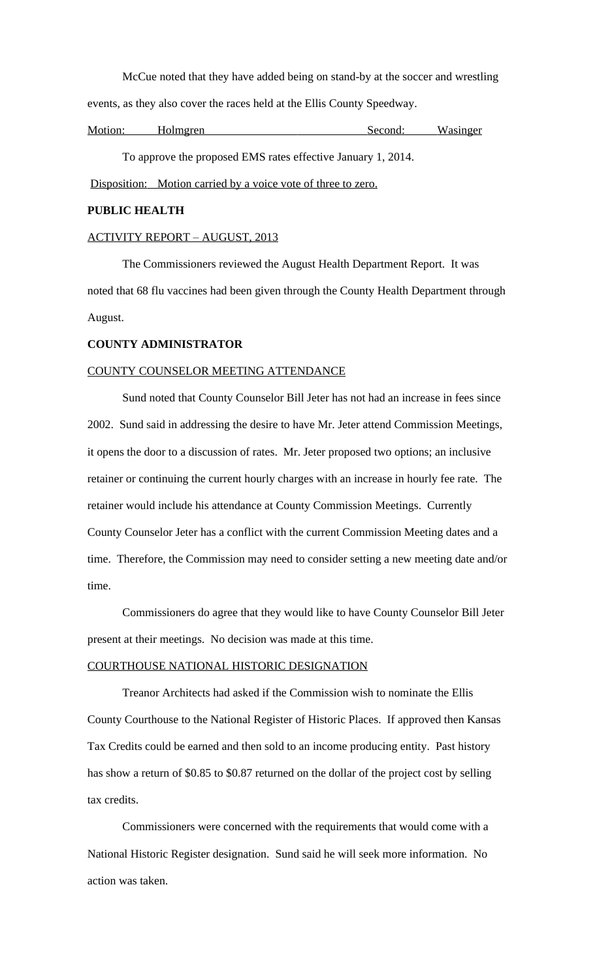McCue noted that they have added being on stand-by at the soccer and wrestling events, as they also cover the races held at the Ellis County Speedway.

| Motion: | Holmgren | Second: | Wasinger |
|---------|----------|---------|----------|
|         |          |         |          |
|         |          |         |          |

To approve the proposed EMS rates effective January 1, 2014.

Disposition: Motion carried by a voice vote of three to zero.

# **PUBLIC HEALTH**

# ACTIVITY REPORT – AUGUST, 2013

The Commissioners reviewed the August Health Department Report. It was noted that 68 flu vaccines had been given through the County Health Department through August.

# **COUNTY ADMINISTRATOR**

# COUNTY COUNSELOR MEETING ATTENDANCE

Sund noted that County Counselor Bill Jeter has not had an increase in fees since 2002. Sund said in addressing the desire to have Mr. Jeter attend Commission Meetings, it opens the door to a discussion of rates. Mr. Jeter proposed two options; an inclusive retainer or continuing the current hourly charges with an increase in hourly fee rate. The retainer would include his attendance at County Commission Meetings. Currently County Counselor Jeter has a conflict with the current Commission Meeting dates and a time. Therefore, the Commission may need to consider setting a new meeting date and/or time.

Commissioners do agree that they would like to have County Counselor Bill Jeter present at their meetings. No decision was made at this time.

## COURTHOUSE NATIONAL HISTORIC DESIGNATION

Treanor Architects had asked if the Commission wish to nominate the Ellis County Courthouse to the National Register of Historic Places. If approved then Kansas Tax Credits could be earned and then sold to an income producing entity. Past history has show a return of \$0.85 to \$0.87 returned on the dollar of the project cost by selling tax credits.

Commissioners were concerned with the requirements that would come with a National Historic Register designation. Sund said he will seek more information. No action was taken.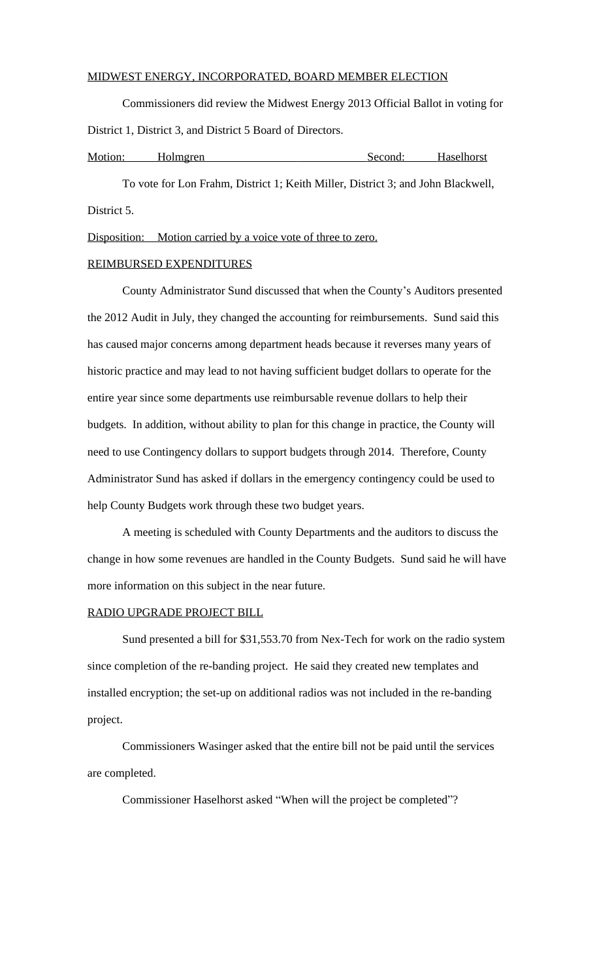### MIDWEST ENERGY, INCORPORATED, BOARD MEMBER ELECTION

Commissioners did review the Midwest Energy 2013 Official Ballot in voting for District 1, District 3, and District 5 Board of Directors.

| Motion: | Holmgren | Second: | Haselhorst |
|---------|----------|---------|------------|
|         |          |         |            |

To vote for Lon Frahm, District 1; Keith Miller, District 3; and John Blackwell, District 5.

Disposition: Motion carried by a voice vote of three to zero.

#### REIMBURSED EXPENDITURES

County Administrator Sund discussed that when the County's Auditors presented the 2012 Audit in July, they changed the accounting for reimbursements. Sund said this has caused major concerns among department heads because it reverses many years of historic practice and may lead to not having sufficient budget dollars to operate for the entire year since some departments use reimbursable revenue dollars to help their budgets. In addition, without ability to plan for this change in practice, the County will need to use Contingency dollars to support budgets through 2014. Therefore, County Administrator Sund has asked if dollars in the emergency contingency could be used to help County Budgets work through these two budget years.

A meeting is scheduled with County Departments and the auditors to discuss the change in how some revenues are handled in the County Budgets. Sund said he will have more information on this subject in the near future.

### RADIO UPGRADE PROJECT BILL

Sund presented a bill for \$31,553.70 from Nex-Tech for work on the radio system since completion of the re-banding project. He said they created new templates and installed encryption; the set-up on additional radios was not included in the re-banding project.

Commissioners Wasinger asked that the entire bill not be paid until the services are completed.

Commissioner Haselhorst asked "When will the project be completed"?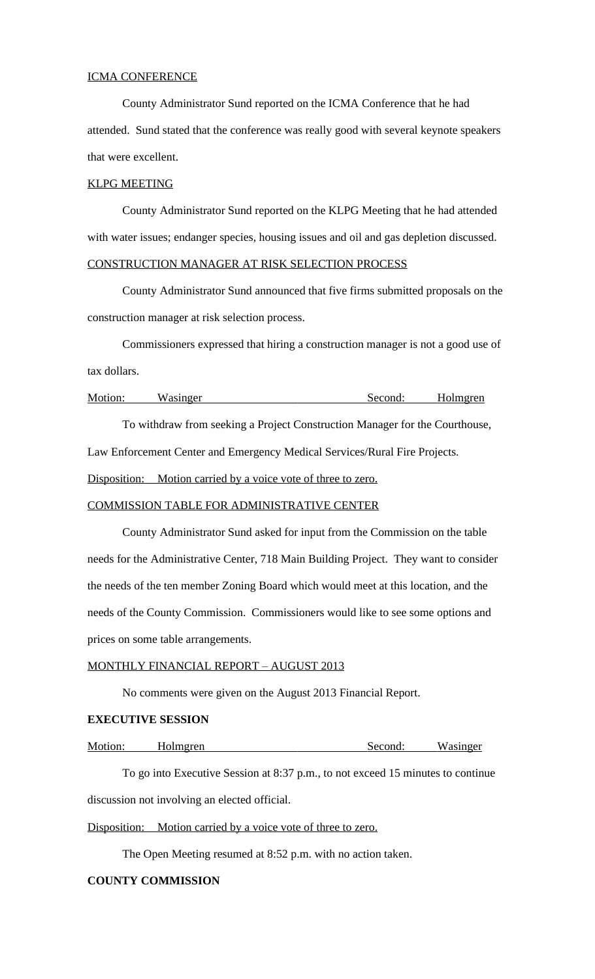#### ICMA CONFERENCE

County Administrator Sund reported on the ICMA Conference that he had attended. Sund stated that the conference was really good with several keynote speakers that were excellent.

### KLPG MEETING

County Administrator Sund reported on the KLPG Meeting that he had attended with water issues; endanger species, housing issues and oil and gas depletion discussed. CONSTRUCTION MANAGER AT RISK SELECTION PROCESS

County Administrator Sund announced that five firms submitted proposals on the construction manager at risk selection process.

Commissioners expressed that hiring a construction manager is not a good use of tax dollars.

| Motion: | Wasinger | Second: | Holmgren |
|---------|----------|---------|----------|
|         |          |         |          |

To withdraw from seeking a Project Construction Manager for the Courthouse,

Law Enforcement Center and Emergency Medical Services/Rural Fire Projects.

Disposition: Motion carried by a voice vote of three to zero.

### COMMISSION TABLE FOR ADMINISTRATIVE CENTER

County Administrator Sund asked for input from the Commission on the table needs for the Administrative Center, 718 Main Building Project. They want to consider the needs of the ten member Zoning Board which would meet at this location, and the needs of the County Commission. Commissioners would like to see some options and prices on some table arrangements.

### MONTHLY FINANCIAL REPORT – AUGUST 2013

No comments were given on the August 2013 Financial Report.

## **EXECUTIVE SESSION**

Motion: Holmgren Second: Wasinger

To go into Executive Session at 8:37 p.m., to not exceed 15 minutes to continue discussion not involving an elected official.

Disposition: Motion carried by a voice vote of three to zero.

The Open Meeting resumed at 8:52 p.m. with no action taken.

## **COUNTY COMMISSION**